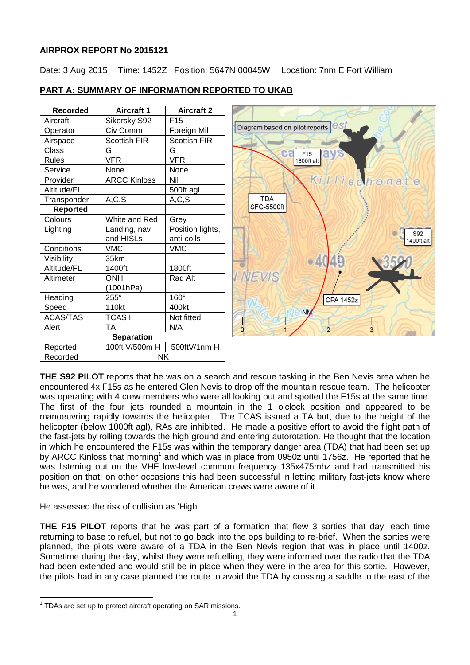# **AIRPROX REPORT No 2015121**

Date: 3 Aug 2015 Time: 1452Z Position: 5647N 00045W Location: 7nm E Fort William

| <b>Recorded</b>   | <b>Aircraft 1</b>   | <b>Aircraft 2</b>   |
|-------------------|---------------------|---------------------|
| Aircraft          | Sikorsky S92        | F <sub>15</sub>     |
| Operator          | Civ Comm            | Foreign Mil         |
| Airspace          | <b>Scottish FIR</b> | <b>Scottish FIR</b> |
| Class             | G                   | G                   |
| <b>Rules</b>      | VFR                 | VFR                 |
| Service           | None                | None                |
| Provider          | <b>ARCC Kinloss</b> | Nil                 |
| Altitude/FL       |                     | 500ft agl           |
| Transponder       | A, C, S             | A, C, S             |
| <b>Reported</b>   |                     |                     |
| Colours           | White and Red       | Grey                |
| Lighting          | Landing, nav        | Position lights,    |
|                   | and HISLs           | anti-colls          |
| Conditions        | <b>VMC</b>          | <b>VMC</b>          |
| Visibility        | 35km                |                     |
| Altitude/FL       | 1400ft              | 1800ft              |
| Altimeter         | ONH                 | Rad Alt             |
|                   | (1001hPa)           |                     |
| Heading           | $255^\circ$         | 160°                |
| Speed             | 110kt               | 400kt               |
| <b>ACAS/TAS</b>   | TCAS II             | Not fitted          |
| Alert             | ТA                  | N/A                 |
| <b>Separation</b> |                     |                     |
| Reported          | 100ft V/500m H      | 500ftV/1nm H        |
| Recorded          | NK                  |                     |

# **PART A: SUMMARY OF INFORMATION REPORTED TO UKAB**



**THE S92 PILOT** reports that he was on a search and rescue tasking in the Ben Nevis area when he encountered 4x F15s as he entered Glen Nevis to drop off the mountain rescue team. The helicopter was operating with 4 crew members who were all looking out and spotted the F15s at the same time. The first of the four jets rounded a mountain in the 1 o'clock position and appeared to be manoeuvring rapidly towards the helicopter. The TCAS issued a TA but, due to the height of the helicopter (below 1000ft agl), RAs are inhibited. He made a positive effort to avoid the flight path of the fast-jets by rolling towards the high ground and entering autorotation. He thought that the location in which he encountered the F15s was within the temporary danger area (TDA) that had been set up by ARCC Kinloss that morning<sup>1</sup> and which was in place from 0950z until 1756z. He reported that he was listening out on the VHF low-level common frequency 135x475mhz and had transmitted his position on that; on other occasions this had been successful in letting military fast-jets know where he was, and he wondered whether the American crews were aware of it.

He assessed the risk of collision as 'High'.

**THE F15 PILOT** reports that he was part of a formation that flew 3 sorties that day, each time returning to base to refuel, but not to go back into the ops building to re-brief. When the sorties were planned, the pilots were aware of a TDA in the Ben Nevis region that was in place until 1400z. Sometime during the day, whilst they were refuelling, they were informed over the radio that the TDA had been extended and would still be in place when they were in the area for this sortie. However, the pilots had in any case planned the route to avoid the TDA by crossing a saddle to the east of the

 $\overline{\phantom{a}}$  $1$  TDAs are set up to protect aircraft operating on SAR missions.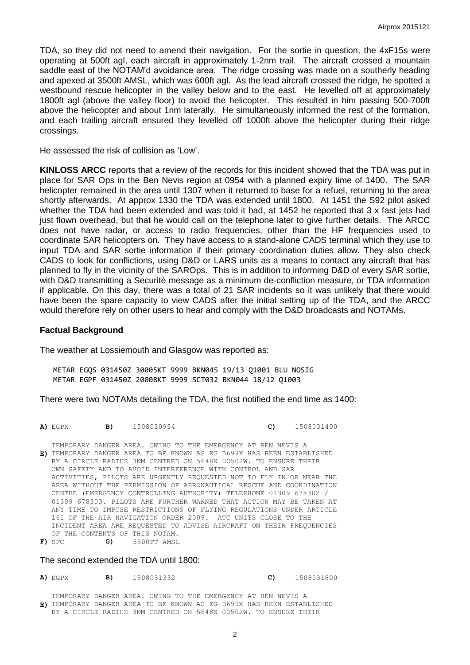TDA, so they did not need to amend their navigation. For the sortie in question, the 4xF15s were operating at 500ft agl, each aircraft in approximately 1-2nm trail. The aircraft crossed a mountain saddle east of the NOTAM'd avoidance area. The ridge crossing was made on a southerly heading and apexed at 3500ft AMSL, which was 600ft agl. As the lead aircraft crossed the ridge, he spotted a westbound rescue helicopter in the valley below and to the east. He levelled off at approximately 1800ft agl (above the valley floor) to avoid the helicopter. This resulted in him passing 500-700ft above the helicopter and about 1nm laterally. He simultaneously informed the rest of the formation, and each trailing aircraft ensured they levelled off 1000ft above the helicopter during their ridge crossings.

He assessed the risk of collision as 'Low'.

**KINLOSS ARCC** reports that a review of the records for this incident showed that the TDA was put in place for SAR Ops in the Ben Nevis region at 0954 with a planned expiry time of 1400. The SAR helicopter remained in the area until 1307 when it returned to base for a refuel, returning to the area shortly afterwards. At approx 1330 the TDA was extended until 1800. At 1451 the S92 pilot asked whether the TDA had been extended and was told it had, at 1452 he reported that 3 x fast jets had just flown overhead, but that he would call on the telephone later to give further details. The ARCC does not have radar, or access to radio frequencies, other than the HF frequencies used to coordinate SAR helicopters on. They have access to a stand-alone CADS terminal which they use to input TDA and SAR sortie information if their primary coordination duties allow. They also check CADS to look for conflictions, using D&D or LARS units as a means to contact any aircraft that has planned to fly in the vicinity of the SAROps. This is in addition to informing D&D of every SAR sortie, with D&D transmitting a Securitè message as a minimum de-confliction measure, or TDA information if applicable. On this day, there was a total of 21 SAR incidents so it was unlikely that there would have been the spare capacity to view CADS after the initial setting up of the TDA, and the ARCC would therefore rely on other users to hear and comply with the D&D broadcasts and NOTAMs.

#### **Factual Background**

The weather at Lossiemouth and Glasgow was reported as:

METAR EGQS 031450Z 30005KT 9999 BKN045 19/13 Q1001 BLU NOSIG METAR EGPF 031450Z 20008KT 9999 SCT032 BKN044 18/12 Q1003

There were two NOTAMs detailing the TDA, the first notified the end time as 1400:

**A)** EGPX **B)** 1508030954 **C)** 1508031400

**E)** TEMPORARY DANGER AREA TO BE KNOWN AS EG D699X HAS BEEN ESTABLISHED TEMPORARY DANGER AREA. OWING TO THE EMERGENCY AT BEN NEVIS A BY A CIRCLE RADIUS 3NM CENTRED ON 5648N 00502W. TO ENSURE THEIR OWN SAFETY AND TO AVOID INTERFERENCE WITH CONTROL AND SAR ACTIVITIES, PILOTS ARE URGENTLY REQUESTED NOT TO FLY IN OR NEAR THE AREA WITHOUT THE PERMISSION OF AERONAUTICAL RESCUE AND COORDINATION CENTRE (EMERGENCY CONTROLLING AUTHORITY) TELEPHONE 01309 678302 / 01309 678303. PILOTS ARE FURTHER WARNED THAT ACTION MAY BE TAKEN AT ANY TIME TO IMPOSE RESTRICTIONS OF FLYING REGULATIONS UNDER ARTICLE 161 OF THE AIR NAVIGATION ORDER 2009. ATC UNITS CLOSE TO THE INCIDENT AREA ARE REQUESTED TO ADVISE AIRCRAFT ON THEIR FREQUENCIES OF THE CONTENTS OF THIS NOTAM. **F)** SFC **G)** 5500FT AMSL

The second extended the TDA until 1800:

**A)** EGPX **B)** 1508031332 **C)** 1508031800

**E)** TEMPORARY DANGER AREA TO BE KNOWN AS EG D699X HAS BEEN ESTABLISHED TEMPORARY DANGER AREA. OWING TO THE EMERGENCY AT BEN NEVIS A BY A CIRCLE RADIUS 3NM CENTRED ON 5648N 00502W. TO ENSURE THEIR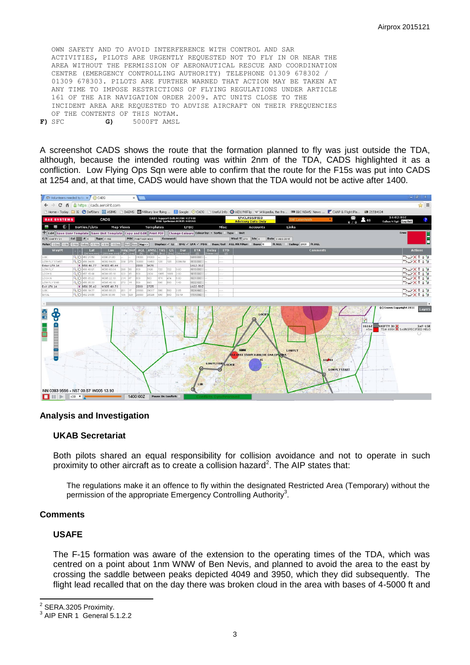OWN SAFETY AND TO AVOID INTERFERENCE WITH CONTROL AND SAR ACTIVITIES, PILOTS ARE URGENTLY REQUESTED NOT TO FLY IN OR NEAR THE AREA WITHOUT THE PERMISSION OF AERONAUTICAL RESCUE AND COORDINATION CENTRE (EMERGENCY CONTROLLING AUTHORITY) TELEPHONE 01309 678302 / 01309 678303. PILOTS ARE FURTHER WARNED THAT ACTION MAY BE TAKEN AT ANY TIME TO IMPOSE RESTRICTIONS OF FLYING REGULATIONS UNDER ARTICLE 161 OF THE AIR NAVIGATION ORDER 2009. ATC UNITS CLOSE TO THE INCIDENT AREA ARE REQUESTED TO ADVISE AIRCRAFT ON THEIR FREQUENCIES OF THE CONTENTS OF THIS NOTAM. **F)** SFC **G)** 5000FT AMSL

A screenshot CADS shows the route that the formation planned to fly was just outside the TDA, although, because the intended routing was within 2nm of the TDA, CADS highlighted it as a confliction. Low Flying Ops Sqn were able to confirm that the route for the F15s was put into CADS at 1254 and, at that time, CADS would have shown that the TDA would not be active after 1400.

|                                                                                                                                                                                                                                                                                                                                                                                                                                                         | $ \theta$ $\times$                                            |  |
|---------------------------------------------------------------------------------------------------------------------------------------------------------------------------------------------------------------------------------------------------------------------------------------------------------------------------------------------------------------------------------------------------------------------------------------------------------|---------------------------------------------------------------|--|
| $\Rightarrow$ C $\land$ A https://cads.aeroint.com                                                                                                                                                                                                                                                                                                                                                                                                      | $\approx$ $\equiv$                                            |  |
| Fi Home - Today <b>File @ DefStars @ ASIMS</b> Fi DAEMS <b>Military low flying Ni Google @ CADS</b> Fi Useful Info @ AIDU MilFlip W Wikipedia, the fre 000 BBC NEWS News CANP & Flight Pla 00 21514634                                                                                                                                                                                                                                                  |                                                               |  |
| <b>UNCLASSIFIED</b><br>CADS Support Cell: 01780 417448<br>BAE Systems: 01935 443161<br><b>2</b> 48<br><b>BAE SYSTEMS</b><br>CADS<br>RAF Lakenheath<br><b>Advisory Data Only</b><br>0/0                                                                                                                                                                                                                                                                  | 14:02:03Z<br>Cullen N Sqt - Log Out                           |  |
| <b>BB</b> 40<br>Sorties/Lists<br><b>Map Views</b><br><b>Templates</b><br><b>LFBC</b><br>Misc<br>Links<br>Accounts                                                                                                                                                                                                                                                                                                                                       |                                                               |  |
| + Edit   Save User Template   Save Unit Template   Copy and Edit   Print PDF   Change Colours Colour by: . Sortie Of Type O Unit<br>Crew                                                                                                                                                                                                                                                                                                                |                                                               |  |
| POC PANTHER WDO<br>Wind $\degree$ T 270<br>C/S SHIFTY 31<br>$col \tightharpoonup 6$<br>Type F-16E<br><b>Comment</b><br>kts n<br><b>Date</b> 3 AUG 2015                                                                                                                                                                                                                                                                                                  |                                                               |  |
| Ret Rev Map>><br>Display: √ LL BNG √ LFA √ PDA Base/Ceil AGL Alt Filter: Base: 0<br>Rolex -1 Day -1 Hr -5 Min Today +5 Min +1 Hr +1 Day<br>ft AGL Ceiling: 2000 ft AGL                                                                                                                                                                                                                                                                                  |                                                               |  |
| $\left \begin{array}{cc} Hdg\ \hline \text{(M)}\ \hline \text{(m)}\ \hline \text{(mm)}\ \hline \end{array}\right $ AGL $\left \begin{array}{cc} AMSL\ \hline \text{(R)}\ \hline \text{(R)}\ \hline \text{(R)}\ \hline \end{array}\right $ $\left \begin{array}{cc} GS\ \hline \text{(kts)}\ \hline \end{array}\right $<br>WayPt<br>Lon<br>Dur<br>hhmm:ss<br><b>ETA</b><br><b>Delay</b><br><b>ETD</b><br><b>Comments</b><br>Lat<br>(hhmm:ss)<br>dd mm.mm | <b>Actions</b>                                                |  |
| (ddd mm.mn<br>(2)<br>(2)<br>LUK.<br>Q O N52 21.58<br>E000 21.80<br>31000<br>31003<br>1400:002                                                                                                                                                                                                                                                                                                                                                           | つン×t : w                                                      |  |
| Q O N56 34.85<br>10002 54.55<br>39 278<br>10000<br>10453<br>128<br>128<br>0209:69<br>1610:002<br>LOW FLY START                                                                                                                                                                                                                                                                                                                                          | つン×t:ョ                                                        |  |
| W003 45.44<br>3476<br>Enter LFA 14<br>X NS6 46.77<br>2000<br>1612:312                                                                                                                                                                                                                                                                                                                                                                                   |                                                               |  |
| LOW FLY<br>Q O N56 48.97<br>10003 55.04<br>296 36<br>2195<br>22<br>722<br>1613:002<br>500<br>3:00<br>Q O N57 16.48<br>323 35<br>2304<br>1065<br>1615:002<br>LOCH S<br>000436.18<br>600<br>1066<br>2:00<br>$\sim$                                                                                                                                                                                                                                        | つン×t:ョ<br>つンXtim                                              |  |
| LOCH N<br>Q O N56 36.22<br>10005 22.10<br>214 47<br>474<br>1621:002<br>600<br>500<br>474<br>6:00<br>w                                                                                                                                                                                                                                                                                                                                                   | つン×t:w                                                        |  |
| O N56 38.33<br>10005 48.18<br>273 14<br>500<br>1.43<br>1822:43Z<br>LOW FLY END<br>500<br>890<br>500                                                                                                                                                                                                                                                                                                                                                     | つンXt:ョ                                                        |  |
| 1622:502<br>Exit LFA 14<br>X N56 35.42<br>W005 48.73<br>2000<br>2725                                                                                                                                                                                                                                                                                                                                                                                    |                                                               |  |
| Q O N56 19.77<br><b>LUK</b><br>10005 58.25<br>201 17<br>28000<br>20017<br>500<br>500<br>2:06<br>1824:492<br>a.                                                                                                                                                                                                                                                                                                                                          | つン×t:w                                                        |  |
| Q O N52 24.66<br>135 328<br>28026<br>EGUL<br>E000 33.66<br>28000<br>600<br>500<br>39:19<br>1704:09Z                                                                                                                                                                                                                                                                                                                                                     | つン×t:w                                                        |  |
| LOCH:<br>Fo<br>Ŧ<br><b>GGENI</b><br><b>LOWFLY</b><br>A 699X 5500ft 0:00LIVE SAR OPS/TOA<br>LO <sub>508</sub><br>LOW FLY END LOCH N<br><b>LOW FLY START</b>                                                                                                                                                                                                                                                                                              | (c) Crown Copyright 2011<br>Lavers<br>16162 SHIFTY 31 SAF-15E |  |
| NN 0383 9556 - N57 00.57 W005 13.93<br>1400:00Z<br>$x30 \times$<br><b>Pause On Conflict:</b><br><b>Cunchimento</b>                                                                                                                                                                                                                                                                                                                                      |                                                               |  |

### **Analysis and Investigation**

### **UKAB Secretariat**

Both pilots shared an equal responsibility for collision avoidance and not to operate in such proximity to other aircraft as to create a collision hazard<sup>2</sup>. The AIP states that:

The regulations make it an offence to fly within the designated Restricted Area (Temporary) without the permission of the appropriate Emergency Controlling Authority<sup>3</sup>.

### **Comments**

### **USAFE**

The F-15 formation was aware of the extension to the operating times of the TDA, which was centred on a point about 1nm WNW of Ben Nevis, and planned to avoid the area to the east by crossing the saddle between peaks depicted 4049 and 3950, which they did subsequently. The flight lead recalled that on the day there was broken cloud in the area with bases of 4-5000 ft and

2 SERA.3205 Proximity.

<sup>3</sup> AIP ENR 1 General 5.1.2.2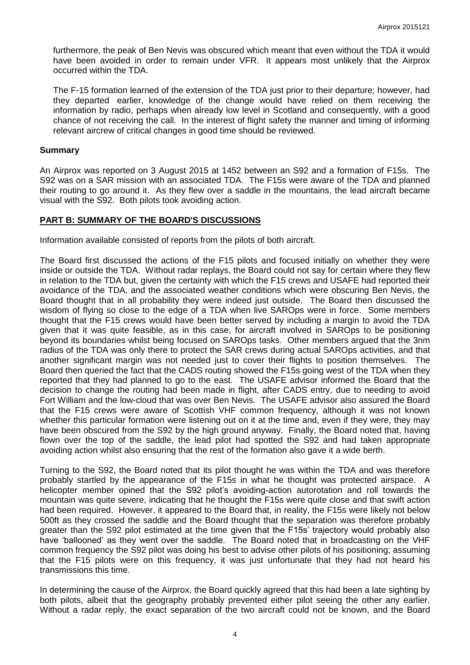furthermore, the peak of Ben Nevis was obscured which meant that even without the TDA it would have been avoided in order to remain under VFR. It appears most unlikely that the Airprox occurred within the TDA.

The F-15 formation learned of the extension of the TDA just prior to their departure; however, had they departed earlier, knowledge of the change would have relied on them receiving the information by radio, perhaps when already low level in Scotland and consequently, with a good chance of not receiving the call. In the interest of flight safety the manner and timing of informing relevant aircrew of critical changes in good time should be reviewed.

### **Summary**

An Airprox was reported on 3 August 2015 at 1452 between an S92 and a formation of F15s. The S92 was on a SAR mission with an associated TDA. The F15s were aware of the TDA and planned their routing to go around it. As they flew over a saddle in the mountains, the lead aircraft became visual with the S92. Both pilots took avoiding action.

### **PART B: SUMMARY OF THE BOARD'S DISCUSSIONS**

Information available consisted of reports from the pilots of both aircraft.

The Board first discussed the actions of the F15 pilots and focused initially on whether they were inside or outside the TDA. Without radar replays, the Board could not say for certain where they flew in relation to the TDA but, given the certainty with which the F15 crews and USAFE had reported their avoidance of the TDA, and the associated weather conditions which were obscuring Ben Nevis, the Board thought that in all probability they were indeed just outside. The Board then discussed the wisdom of flying so close to the edge of a TDA when live SAROps were in force. Some members thought that the F15 crews would have been better served by including a margin to avoid the TDA given that it was quite feasible, as in this case, for aircraft involved in SAROps to be positioning beyond its boundaries whilst being focused on SAROps tasks. Other members argued that the 3nm radius of the TDA was only there to protect the SAR crews during actual SAROps activities, and that another significant margin was not needed just to cover their flights to position themselves. The Board then queried the fact that the CADS routing showed the F15s going west of the TDA when they reported that they had planned to go to the east. The USAFE advisor informed the Board that the decision to change the routing had been made in flight, after CADS entry, due to needing to avoid Fort William and the low-cloud that was over Ben Nevis. The USAFE advisor also assured the Board that the F15 crews were aware of Scottish VHF common frequency, although it was not known whether this particular formation were listening out on it at the time and, even if they were, they may have been obscured from the S92 by the high ground anyway. Finally, the Board noted that, having flown over the top of the saddle, the lead pilot had spotted the S92 and had taken appropriate avoiding action whilst also ensuring that the rest of the formation also gave it a wide berth.

Turning to the S92, the Board noted that its pilot thought he was within the TDA and was therefore probably startled by the appearance of the F15s in what he thought was protected airspace. A helicopter member opined that the S92 pilot's avoiding-action autorotation and roll towards the mountain was quite severe, indicating that he thought the F15s were quite close and that swift action had been required. However, it appeared to the Board that, in reality, the F15s were likely not below 500ft as they crossed the saddle and the Board thought that the separation was therefore probably greater than the S92 pilot estimated at the time given that the F15s' trajectory would probably also have 'ballooned' as they went over the saddle. The Board noted that in broadcasting on the VHF common frequency the S92 pilot was doing his best to advise other pilots of his positioning; assuming that the F15 pilots were on this frequency, it was just unfortunate that they had not heard his transmissions this time.

In determining the cause of the Airprox, the Board quickly agreed that this had been a late sighting by both pilots, albeit that the geography probably prevented either pilot seeing the other any earlier. Without a radar reply, the exact separation of the two aircraft could not be known, and the Board